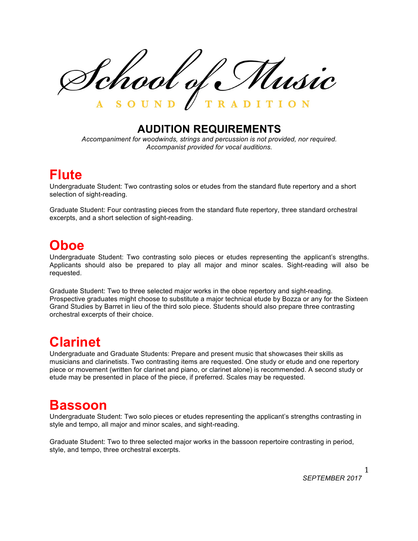School of Music

## **AUDITION REQUIREMENTS**

*Accompaniment for woodwinds, strings and percussion is not provided, nor required. Accompanist provided for vocal auditions.*

## **Flute**

Undergraduate Student: Two contrasting solos or etudes from the standard flute repertory and a short selection of sight-reading.

Graduate Student: Four contrasting pieces from the standard flute repertory, three standard orchestral excerpts, and a short selection of sight-reading.

## **Oboe**

Undergraduate Student: Two contrasting solo pieces or etudes representing the applicant's strengths. Applicants should also be prepared to play all major and minor scales. Sight-reading will also be requested.

Graduate Student: Two to three selected major works in the oboe repertory and sight-reading. Prospective graduates might choose to substitute a major technical etude by Bozza or any for the Sixteen Grand Studies by Barret in lieu of the third solo piece. Students should also prepare three contrasting orchestral excerpts of their choice.

# **Clarinet**

Undergraduate and Graduate Students: Prepare and present music that showcases their skills as musicians and clarinetists. Two contrasting items are requested. One study or etude and one repertory piece or movement (written for clarinet and piano, or clarinet alone) is recommended. A second study or etude may be presented in place of the piece, if preferred. Scales may be requested.

## **Bassoon**

Undergraduate Student: Two solo pieces or etudes representing the applicant's strengths contrasting in style and tempo, all major and minor scales, and sight-reading.

Graduate Student: Two to three selected major works in the bassoon repertoire contrasting in period, style, and tempo, three orchestral excerpts.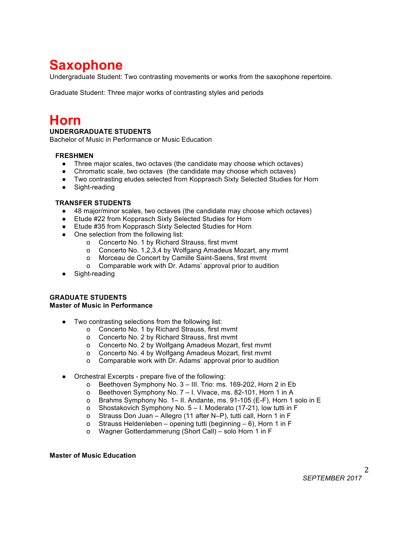# **Saxophone**

Undergraduate Student: Two contrasting movements or works from the saxophone repertoire.

Graduate Student: Three major works of contrasting styles and periods

# **Horn**

## **UNDERGRADUATE STUDENTS**

Bachelor of Music in Performance or Music Education

## **FRESHMEN**

- Three major scales, two octaves (the candidate may choose which octaves)
- Chromatic scale, two octaves (the candidate may choose which octaves)
- Two contrasting etudes selected from Kopprasch Sixty Selected Studies for Horn
- Sight-reading

### **TRANSFER STUDENTS**

- 48 major/minor scales, two octaves (the candidate may choose which octaves)
- Etude #22 from Kopprasch Sixty Selected Studies for Horn
- Etude #35 from Kopprasch Sixty Selected Studies for Horn
- One selection from the following list:
	- o Concerto No. 1 by Richard Strauss, first mvmt
	- o Concerto No. 1,2,3,4 by Wolfgang Amadeus Mozart, any mvmt
	- o Morceau de Concert by Camille Saint-Saens, first mvmt
	- o Comparable work with Dr. Adams' approval prior to audition
- Sight-reading

#### **GRADUATE STUDENTS Master of Music in Performance**

- Two contrasting selections from the following list:
	- o Concerto No. 1 by Richard Strauss, first mvmt
	- o Concerto No. 2 by Richard Strauss, first mvmt
	- o Concerto No. 2 by Wolfgang Amadeus Mozart, first mvmt
	- o Concerto No. 4 by Wolfgang Amadeus Mozart, first mvmt
	- o Comparable work with Dr. Adams' approval prior to audition
- Orchestral Excerpts prepare five of the following:
	- o Beethoven Symphony No. 3 III. Trio: ms. 169-202, Horn 2 in Eb
	- o Beethoven Symphony No. 7 I. Vivace, ms. 82-101, Horn 1 in A
	- o Brahms Symphony No. 1– II. Andante, ms. 91-105 (E-F), Horn 1 solo in E
	- o Shostakovich Symphony No. 5 I. Moderato (17-21), low tutti in F
	- o Strauss Don Juan Allegro (11 after N–P), tutti call, Horn 1 in F
	- o Strauss Heldenleben opening tutti (beginning 6), Horn 1 in F
	- o Wagner Gotterdammerung (Short Call) solo Horn 1 in F

## **Master of Music Education**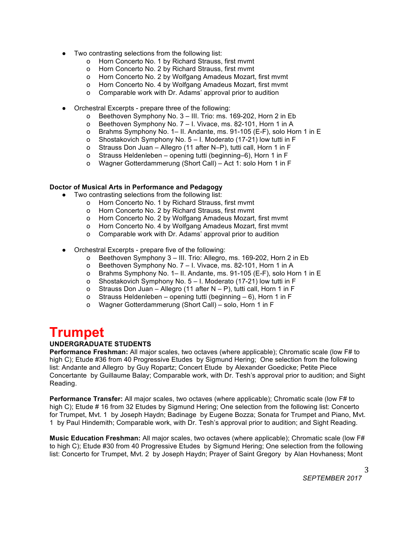- Two contrasting selections from the following list:
	- o Horn Concerto No. 1 by Richard Strauss, first mvmt
	- o Horn Concerto No. 2 by Richard Strauss, first mvmt
	- o Horn Concerto No. 2 by Wolfgang Amadeus Mozart, first mvmt
	- o Horn Concerto No. 4 by Wolfgang Amadeus Mozart, first mvmt
	- o Comparable work with Dr. Adams' approval prior to audition
- Orchestral Excerpts prepare three of the following:
	- o Beethoven Symphony No. 3 III. Trio: ms. 169-202, Horn 2 in Eb
	- o Beethoven Symphony No. 7 I. Vivace, ms. 82-101, Horn 1 in A
	- o Brahms Symphony No. 1– II. Andante, ms. 91-105 (E-F), solo Horn 1 in E
	- o Shostakovich Symphony No. 5 I. Moderato (17-21) low tutti in F
	- o Strauss Don Juan Allegro (11 after N–P), tutti call, Horn 1 in F
	- o Strauss Heldenleben opening tutti (beginning–6), Horn 1 in F
	- o Wagner Gotterdammerung (Short Call) Act 1: solo Horn 1 in F

## **Doctor of Musical Arts in Performance and Pedagogy**

- Two contrasting selections from the following list:
	- o Horn Concerto No. 1 by Richard Strauss, first mvmt
	- o Horn Concerto No. 2 by Richard Strauss, first mvmt
	- o Horn Concerto No. 2 by Wolfgang Amadeus Mozart, first mvmt
	- o Horn Concerto No. 4 by Wolfgang Amadeus Mozart, first mvmt
	- o Comparable work with Dr. Adams' approval prior to audition
- Orchestral Excerpts prepare five of the following:
	- o Beethoven Symphony 3 III. Trio: Allegro, ms. 169-202, Horn 2 in Eb
	- o Beethoven Symphony No. 7 I. Vivace, ms. 82-101, Horn 1 in A
	- o Brahms Symphony No. 1– II. Andante, ms. 91-105 (E-F), solo Horn 1 in E
	- o Shostakovich Symphony No. 5 I. Moderato (17-21) low tutti in F
	- o Strauss Don Juan Allegro (11 after N P), tutti call, Horn 1 in F
	- o Strauss Heldenleben opening tutti (beginning 6), Horn 1 in F
	- o Wagner Gotterdammerung (Short Call) solo, Horn 1 in F

# **Trumpet**

## **UNDERGRADUATE STUDENTS**

**Performance Freshman:** All major scales, two octaves (where applicable); Chromatic scale (low F# to high C); Etude #36 from 40 Progressive Etudes by Sigmund Hering; One selection from the following list: Andante and Allegro by Guy Ropartz; Concert Etude by Alexander Goedicke; Petite Piece Concertante by Guillaume Balay; Comparable work, with Dr. Tesh's approval prior to audition; and Sight Reading.

**Performance Transfer:** All major scales, two octaves (where applicable); Chromatic scale (low F# to high C); Etude # 16 from 32 Etudes by Sigmund Hering; One selection from the following list: Concerto for Trumpet, Mvt. 1 by Joseph Haydn; Badinage by Eugene Bozza; Sonata for Trumpet and Piano, Mvt. 1 by Paul Hindemith; Comparable work, with Dr. Tesh's approval prior to audition; and Sight Reading.

**Music Education Freshman:** All major scales, two octaves (where applicable); Chromatic scale (low F# to high C); Etude #30 from 40 Progressive Etudes by Sigmund Hering; One selection from the following list: Concerto for Trumpet, Mvt. 2 by Joseph Haydn; Prayer of Saint Gregory by Alan Hovhaness; Mont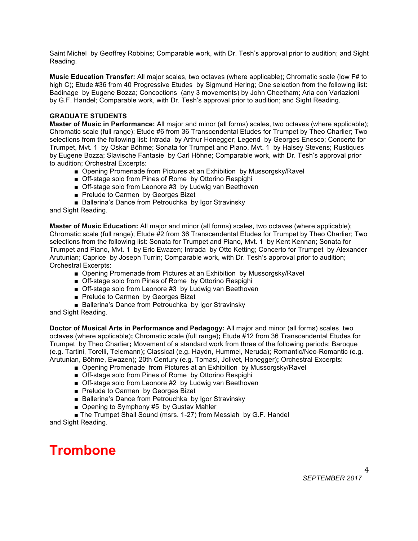Saint Michel by Geoffrey Robbins; Comparable work, with Dr. Tesh's approval prior to audition; and Sight Reading.

**Music Education Transfer:** All major scales, two octaves (where applicable); Chromatic scale (low F# to high C); Etude #36 from 40 Progressive Etudes by Sigmund Hering; One selection from the following list; Badinage by Eugene Bozza; Concoctions (any 3 movements) by John Cheetham; Aria con Variazioni by G.F. Handel; Comparable work, with Dr. Tesh's approval prior to audition; and Sight Reading.

### **GRADUATE STUDENTS**

**Master of Music in Performance:** All major and minor (all forms) scales, two octaves (where applicable); Chromatic scale (full range); Etude #6 from 36 Transcendental Etudes for Trumpet by Theo Charlier; Two selections from the following list: Intrada by Arthur Honegger; Legend by Georges Enesco; Concerto for Trumpet, Mvt. 1 by Oskar Böhme; Sonata for Trumpet and Piano, Mvt. 1 by Halsey Stevens; Rustiques by Eugene Bozza; Slavische Fantasie by Carl Höhne; Comparable work, with Dr. Tesh's approval prior to audition; Orchestral Excerpts:

- Opening Promenade from Pictures at an Exhibition by Mussorgsky/Ravel
- Off-stage solo from Pines of Rome by Ottorino Respighi
- Off-stage solo from Leonore #3 by Ludwig van Beethoven
- Prelude to Carmen by Georges Bizet
- Ballerina's Dance from Petrouchka by Igor Stravinsky

and Sight Reading.

**Master of Music Education:** All major and minor (all forms) scales, two octaves (where applicable); Chromatic scale (full range); Etude #2 from 36 Transcendental Etudes for Trumpet by Theo Charlier; Two selections from the following list: Sonata for Trumpet and Piano, Mvt. 1 by Kent Kennan; Sonata for Trumpet and Piano, Mvt. 1 by Eric Ewazen; Intrada by Otto Ketting; Concerto for Trumpet by Alexander Arutunian; Caprice by Joseph Turrin; Comparable work, with Dr. Tesh's approval prior to audition; Orchestral Excerpts:

- Opening Promenade from Pictures at an Exhibition by Mussorgsky/Ravel
- Off-stage solo from Pines of Rome by Ottorino Respighi
- Off-stage solo from Leonore #3 by Ludwig van Beethoven
- Prelude to Carmen by Georges Bizet
- Ballerina's Dance from Petrouchka by Igor Stravinsky

and Sight Reading.

**Doctor of Musical Arts in Performance and Pedagogy:** All major and minor (all forms) scales, two octaves (where applicable)**;** Chromatic scale (full range)**;** Etude #12 from 36 Transcendental Etudes for Trumpet by Theo Charlier**;** Movement of a standard work from three of the following periods: Baroque (e.g. Tartini, Torelli, Telemann)**;** Classical (e.g. Haydn, Hummel, Neruda)**;** Romantic/Neo-Romantic (e.g. Arutunian, Böhme, Ewazen)**;** 20th Century (e.g. Tomasi, Jolivet, Honegger)**;** Orchestral Excerpts:

- Opening Promenade from Pictures at an Exhibition by Mussorgsky/Ravel
- Off-stage solo from Pines of Rome by Ottorino Respighi
- Off-stage solo from Leonore #2 by Ludwig van Beethoven
- Prelude to Carmen by Georges Bizet
- Ballerina's Dance from Petrouchka by Igor Stravinsky
- Opening to Symphony #5 by Gustav Mahler

■ The Trumpet Shall Sound (msrs. 1-27) from Messiah by G.F. Handel and Sight Reading.

## **Trombone**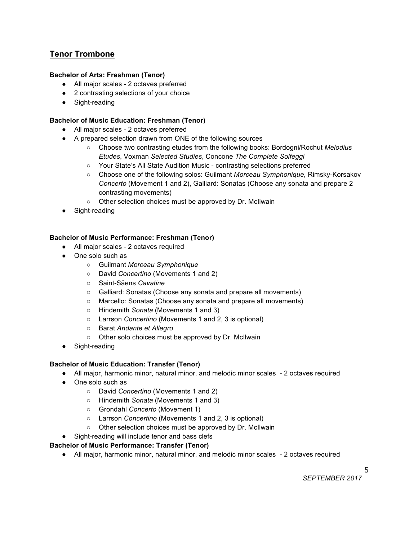## **Tenor Trombone**

## **Bachelor of Arts: Freshman (Tenor)**

- All major scales 2 octaves preferred
- 2 contrasting selections of your choice
- Sight-reading

## **Bachelor of Music Education: Freshman (Tenor)**

- All major scales 2 octaves preferred
- A prepared selection drawn from ONE of the following sources
	- Choose two contrasting etudes from the following books: Bordogni/Rochut *Melodius Etudes*, Voxman *Selected Studies*, Concone *The Complete Solfeggi*
	- Your State's All State Audition Music contrasting selections preferred
	- Choose one of the following solos: Guilmant *Morceau Symphonique,* Rimsky-Korsakov *Concerto* (Movement 1 and 2), Galliard: Sonatas (Choose any sonata and prepare 2 contrasting movements)
	- Other selection choices must be approved by Dr. McIlwain
- Sight-reading

## **Bachelor of Music Performance: Freshman (Tenor)**

- All major scales 2 octaves required
- One solo such as
	- Guilmant *Morceau Symphonique*
	- David *Concertino* (Movements 1 and 2)
	- Saint-Säens *Cavatine*
	- Galliard: Sonatas (Choose any sonata and prepare all movements)
	- Marcello: Sonatas (Choose any sonata and prepare all movements)
	- Hindemith *Sonata* (Movements 1 and 3)
	- Larrson *Concertino* (Movements 1 and 2, 3 is optional)
	- Barat *Andante et Allegro*
	- Other solo choices must be approved by Dr. McIlwain
- Sight-reading

## **Bachelor of Music Education: Transfer (Tenor)**

- All major, harmonic minor, natural minor, and melodic minor scales 2 octaves required
- One solo such as
	- David *Concertino* (Movements 1 and 2)
	- Hindemith *Sonata* (Movements 1 and 3)
	- Grondahl *Concerto* (Movement 1)
	- Larrson *Concertino* (Movements 1 and 2, 3 is optional)
	- Other selection choices must be approved by Dr. McIlwain
- Sight-reading will include tenor and bass clefs

## **Bachelor of Music Performance: Transfer (Tenor)**

● All major, harmonic minor, natural minor, and melodic minor scales - 2 octaves required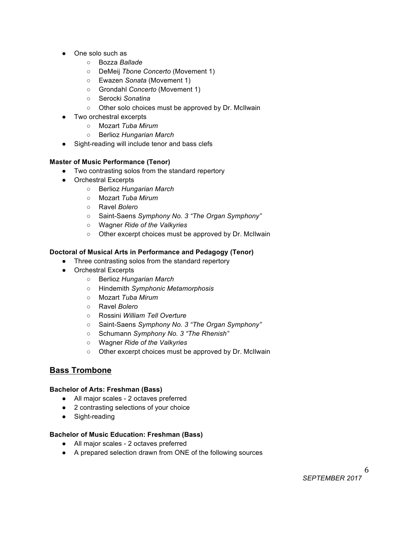- One solo such as
	- Bozza *Ballade*
	- DeMeij *Tbone Concerto* (Movement 1)
	- Ewazen *Sonata* (Movement 1)
	- Grondahl *Concerto* (Movement 1)
	- Serocki *Sonatina*
	- Other solo choices must be approved by Dr. McIlwain
- Two orchestral excerpts
	- Mozart *Tuba Mirum*
	- Berlioz *Hungarian March*
- Sight-reading will include tenor and bass clefs

## **Master of Music Performance (Tenor)**

- Two contrasting solos from the standard repertory
- Orchestral Excerpts
	- Berlioz *Hungarian March*
	- Mozart *Tuba Mirum*
	- Ravel *Bolero*
	- Saint-Saens *Symphony No. 3 "The Organ Symphony"*
	- Wagner *Ride of the Valkyries*
	- Other excerpt choices must be approved by Dr. McIlwain

## **Doctoral of Musical Arts in Performance and Pedagogy (Tenor)**

- Three contrasting solos from the standard repertory
- Orchestral Excerpts
	- Berlioz *Hungarian March*
	- Hindemith *Symphonic Metamorphosis*
	- Mozart *Tuba Mirum*
	- Ravel *Bolero*
	- Rossini *William Tell Overture*
	- Saint-Saens *Symphony No. 3 "The Organ Symphony"*
	- Schumann *Symphony No. 3 "The Rhenish"*
	- Wagner *Ride of the Valkyries*
	- Other excerpt choices must be approved by Dr. McIlwain

## **Bass Trombone**

### **Bachelor of Arts: Freshman (Bass)**

- All major scales 2 octaves preferred
- 2 contrasting selections of your choice
- Sight-reading

### **Bachelor of Music Education: Freshman (Bass)**

- All major scales 2 octaves preferred
- A prepared selection drawn from ONE of the following sources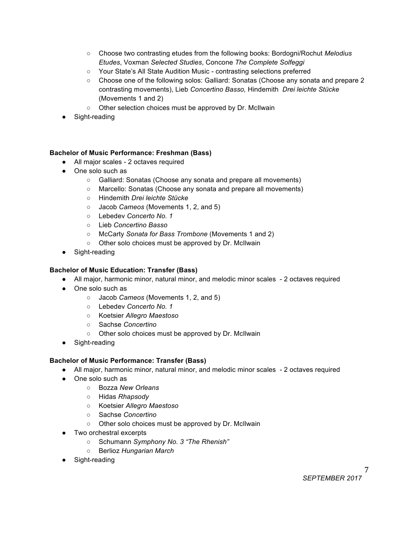- Choose two contrasting etudes from the following books: Bordogni/Rochut *Melodius Etudes*, Voxman *Selected Studies*, Concone *The Complete Solfeggi*
- Your State's All State Audition Music contrasting selections preferred
- Choose one of the following solos: Galliard: Sonatas (Choose any sonata and prepare 2 contrasting movements), Lieb *Concertino Basso,* Hindemith *Drei leichte Stücke*  (Movements 1 and 2)
- Other selection choices must be approved by Dr. McIlwain
- Sight-reading

## **Bachelor of Music Performance: Freshman (Bass)**

- All major scales 2 octaves required
- One solo such as
	- Galliard: Sonatas (Choose any sonata and prepare all movements)
	- Marcello: Sonatas (Choose any sonata and prepare all movements)
	- Hindemith *Drei leichte Stücke*
	- Jacob *Cameos* (Movements 1, 2, and 5)
	- Lebedev *Concerto No. 1*
	- Lieb *Concertino Basso*
	- McCarty *Sonata for Bass Trombone* (Movements 1 and 2)
	- Other solo choices must be approved by Dr. McIlwain
- Sight-reading

## **Bachelor of Music Education: Transfer (Bass)**

- All major, harmonic minor, natural minor, and melodic minor scales 2 octaves required
- One solo such as
	- Jacob *Cameos* (Movements 1, 2, and 5)
	- Lebedev *Concerto No. 1*
	- Koetsier *Allegro Maestoso*
	- Sachse *Concertino*
	- Other solo choices must be approved by Dr. McIlwain
- Sight-reading

### **Bachelor of Music Performance: Transfer (Bass)**

- All major, harmonic minor, natural minor, and melodic minor scales 2 octaves required
- One solo such as
	- Bozza *New Orleans*
	- Hidas *Rhapsody*
	- Koetsier *Allegro Maestoso*
	- Sachse *Concertino*
	- Other solo choices must be approved by Dr. McIlwain
- Two orchestral excerpts
	- Schumann *Symphony No. 3 "The Rhenish"*
	- Berlioz *Hungarian March*
- Sight-reading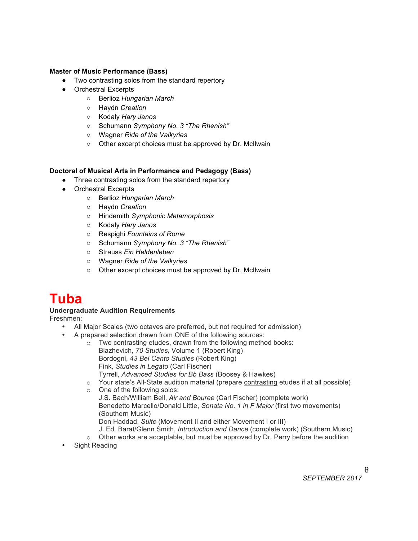## **Master of Music Performance (Bass)**

- Two contrasting solos from the standard repertory
- Orchestral Excerpts
	- Berlioz *Hungarian March*
	- Haydn *Creation*
	- Kodaly *Hary Janos*
	- Schumann *Symphony No. 3 "The Rhenish"*
	- Wagner *Ride of the Valkyries*
	- Other excerpt choices must be approved by Dr. McIlwain

### **Doctoral of Musical Arts in Performance and Pedagogy (Bass)**

- Three contrasting solos from the standard repertory
- Orchestral Excerpts
	- Berlioz *Hungarian March*
	- Haydn *Creation*
	- Hindemith *Symphonic Metamorphosis*
	- Kodaly *Hary Janos*
	- Respighi *Fountains of Rome*
	- Schumann *Symphony No. 3 "The Rhenish"*
	- Strauss *Ein Heldenleben*
	- Wagner *Ride of the Valkyries*
	- Other excerpt choices must be approved by Dr. McIlwain

## **Tuba**

## **Undergraduate Audition Requirements**

Freshmen:

- All Major Scales (two octaves are preferred, but not required for admission)
- A prepared selection drawn from ONE of the following sources:
	- o Two contrasting etudes, drawn from the following method books: Blazhevich, *70 Studies,* Volume 1 (Robert King) Bordogni, *43 Bel Canto Studies* (Robert King) Fink, *Studies in Legato* (Carl Fischer) Tyrrell, *Advanced Studies for Bb Bass* (Boosey & Hawkes)
		- o Your state's All-State audition material (prepare contrasting etudes if at all possible)
	- o One of the following solos: J.S. Bach/William Bell, *Air and Bouree* (Carl Fischer) (complete work)
		- Benedetto Marcello/Donald Little, *Sonata No. 1 in F Major* (first two movements) (Southern Music)

Don Haddad, *Suite* (Movement II and either Movement I or III)

- J. Ed. Barat/Glenn Smith, *Introduction and Dance* (complete work) (Southern Music)
- $\circ$  Other works are acceptable, but must be approved by Dr. Perry before the audition
- Sight Reading

*SEPTEMBER 2017*

8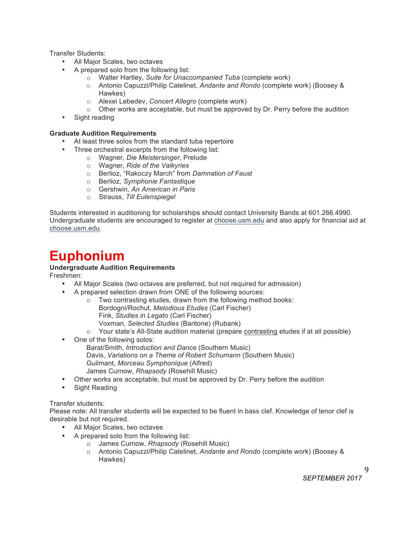Transfer Students:

- All Major Scales, two octaves
- A prepared solo from the following list:
	- o Walter Hartley, *Suite for Unaccompanied Tuba* (complete work)
	- o Antonio Capuzzi/Philip Catelinet, *Andante and Rondo* (complete work) (Boosey & Hawkes)
	- o Alexei Lebedev, *Concert Allegro* (complete work)
	- $\circ$  Other works are acceptable, but must be approved by Dr. Perry before the audition
- Sight reading

## **Graduate Audition Requirements**

- At least three solos from the standard tuba repertoire
	- Three orchestral excerpts from the following list:
		- o Wagner, *Die Meistersinger*, Prelude
		- o Wagner, *Ride of the Valkyries*
		- o Berlioz, "Rakoczy March" from *Damnation of Faust*
		- o Berlioz, *Symphonie Fantastique*
		- o Gershwin, *An American in Paris*
		- o Strauss, *Till Eulenspiegel*

Students interested in auditioning for scholarships should contact University Bands at 601.266.4990. Undergraduate students are encouraged to register at choose.usm.edu and also apply for financial aid at choose.usm.edu.

# **Euphonium**

## **Undergraduate Audition Requirements**

Freshmen:

- All Major Scales (two octaves are preferred, but not required for admission)
- A prepared selection drawn from ONE of the following sources:
	- o Two contrasting etudes, drawn from the following method books:
		- Bordogni/Rochut, *Melodious Etudes* (Carl Fischer) Fink, *Studies in Legato* (Carl Fischer) Voxman, *Selected Studies* (Baritone) (Rubank)
		- o Your state's All-State audition material (prepare contrasting etudes if at all possible)
- One of the following solos:
	- Barat/Smith, *Introduction and Dance* (Southern Music) Davis, *Variations on a Theme of Robert Schumann* (Southern Music) Guilmant, *Morceau Symphonique* (Alfred) James Curnow, *Rhapsody* (Rosehill Music)
- Other works are acceptable, but must be approved by Dr. Perry before the audition
- Sight Reading

### Transfer students:

Please note: All transfer students will be expected to be fluent in bass clef. Knowledge of tenor clef is desirable but not required.

- All Major Scales, two octaves
- A prepared solo from the following list:
	- o James Curnow, *Rhapsody* (Rosehill Music)
		- o Antonio Capuzzi/Philip Catelinet, *Andante and Rondo* (complete work) (Boosey & Hawkes)

9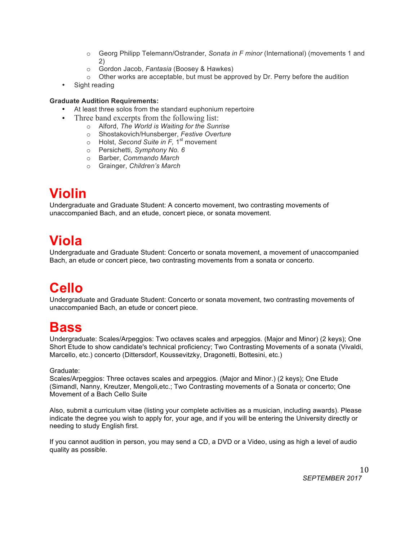- o Georg Philipp Telemann/Ostrander, *Sonata in F minor* (International) (movements 1 and 2)
- o Gordon Jacob, *Fantasia* (Boosey & Hawkes)
- $\circ$  Other works are acceptable, but must be approved by Dr. Perry before the audition
- Sight reading

## **Graduate Audition Requirements:**

- At least three solos from the standard euphonium repertoire
- Three band excerpts from the following list:
	- o Alford, *The World is Waiting for the Sunrise*
	- o Shostakovich/Hunsberger, *Festive Overture*
	- o Holst, *Second Suite in F*, 1<sup>st</sup> movement
	- o Persichetti, *Symphony No. 6*
	- o Barber, *Commando March*
	- o Grainger, *Children's March*

# **Violin**

Undergraduate and Graduate Student: A concerto movement, two contrasting movements of unaccompanied Bach, and an etude, concert piece, or sonata movement.

# **Viola**

Undergraduate and Graduate Student: Concerto or sonata movement, a movement of unaccompanied Bach, an etude or concert piece, two contrasting movements from a sonata or concerto.

# **Cello**

Undergraduate and Graduate Student: Concerto or sonata movement, two contrasting movements of unaccompanied Bach, an etude or concert piece.

## **Bass**

Undergraduate: Scales/Arpeggios: Two octaves scales and arpeggios. (Major and Minor) (2 keys); One Short Etude to show candidate's technical proficiency; Two Contrasting Movements of a sonata (Vivaldi, Marcello, etc.) concerto (Dittersdorf, Koussevitzky, Dragonetti, Bottesini, etc.)

## Graduate:

Scales/Arpeggios: Three octaves scales and arpeggios. (Major and Minor.) (2 keys); One Etude (Simandl, Nanny, Kreutzer, Mengoli,etc.; Two Contrasting movements of a Sonata or concerto; One Movement of a Bach Cello Suite

Also, submit a curriculum vitae (listing your complete activities as a musician, including awards). Please indicate the degree you wish to apply for, your age, and if you will be entering the University directly or needing to study English first.

If you cannot audition in person, you may send a CD, a DVD or a Video, using as high a level of audio quality as possible.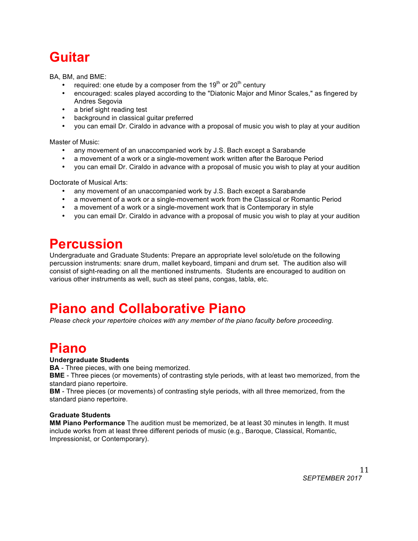# **Guitar**

BA, BM, and BME:

- required: one etude by a composer from the 19<sup>th</sup> or 20<sup>th</sup> century
- encouraged: scales played according to the "Diatonic Major and Minor Scales," as fingered by Andres Segovia
- a brief sight reading test
- background in classical guitar preferred
- you can email Dr. Ciraldo in advance with a proposal of music you wish to play at your audition

Master of Music:

- any movement of an unaccompanied work by J.S. Bach except a Sarabande
- a movement of a work or a single-movement work written after the Baroque Period
- you can email Dr. Ciraldo in advance with a proposal of music you wish to play at your audition

Doctorate of Musical Arts:

- any movement of an unaccompanied work by J.S. Bach except a Sarabande
- a movement of a work or a single-movement work from the Classical or Romantic Period
- a movement of a work or a single-movement work that is Contemporary in style
- you can email Dr. Ciraldo in advance with a proposal of music you wish to play at your audition

# **Percussion**

Undergraduate and Graduate Students: Prepare an appropriate level solo/etude on the following percussion instruments: snare drum, mallet keyboard, timpani and drum set. The audition also will consist of sight-reading on all the mentioned instruments. Students are encouraged to audition on various other instruments as well, such as steel pans, congas, tabla, etc.

# **Piano and Collaborative Piano**

*Please check your repertoire choices with any member of the piano faculty before proceeding.*

# **Piano**

## **Undergraduate Students**

**BA** - Three pieces, with one being memorized.

**BME** - Three pieces (or movements) of contrasting style periods, with at least two memorized, from the standard piano repertoire.

**BM** - Three pieces (or movements) of contrasting style periods, with all three memorized, from the standard piano repertoire.

## **Graduate Students**

**MM Piano Performance** The audition must be memorized, be at least 30 minutes in length. It must include works from at least three different periods of music (e.g., Baroque, Classical, Romantic, Impressionist, or Contemporary).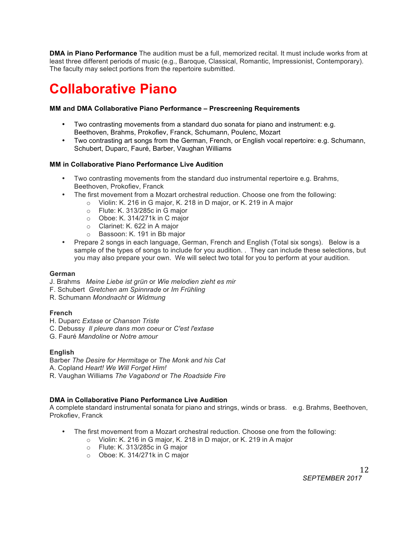**DMA in Piano Performance** The audition must be a full, memorized recital. It must include works from at least three different periods of music (e.g., Baroque, Classical, Romantic, Impressionist, Contemporary). The faculty may select portions from the repertoire submitted.

# **Collaborative Piano**

## **MM and DMA Collaborative Piano Performance – Prescreening Requirements**

- Two contrasting movements from a standard duo sonata for piano and instrument: e.g. Beethoven, Brahms, Prokofiev, Franck, Schumann, Poulenc, Mozart
- Two contrasting art songs from the German, French, or English vocal repertoire: e.g. Schumann, Schubert, Duparc, Fauré, Barber, Vaughan Williams

## **MM in Collaborative Piano Performance Live Audition**

- Two contrasting movements from the standard duo instrumental repertoire e.g. Brahms, Beethoven, Prokofiev, Franck
- The first movement from a Mozart orchestral reduction. Choose one from the following:
	- o Violin: K. 216 in G major, K. 218 in D major, or K. 219 in A major
	- o Flute: K. 313/285c in G major
	- o Oboe: K. 314/271k in C major
	- o Clarinet: K. 622 in A major
	- o Bassoon: K. 191 in Bb major
- Prepare 2 songs in each language, German, French and English (Total six songs). Below is a sample of the types of songs to include for you audition. . They can include these selections, but you may also prepare your own. We will select two total for you to perform at your audition.

## **German**

- J. Brahms *Meine Liebe ist grün* or *Wie melodien zieht es mir*
- F. Schubert *Gretchen am Spinnrade* or *Im Frühling*
- R. Schumann *Mondnacht* or *Widmung*

## **French**

- H. Duparc *Extase* or *Chanson Triste*
- C. Debussy *Il pleure dans mon coeur* or *C'est l'extase*
- G. Fauré *Mandoline* or *Notre amour*

### **English**

Barber *The Desire for Hermitage* or *The Monk and his Cat* A. Copland *Heart! We Will Forget Him!*

R. Vaughan Williams *The Vagabond* or *The Roadside Fire*

## **DMA in Collaborative Piano Performance Live Audition**

A complete standard instrumental sonata for piano and strings, winds or brass. e.g. Brahms, Beethoven, Prokofiev, Franck

- The first movement from a Mozart orchestral reduction. Choose one from the following:
	- o Violin: K. 216 in G major, K. 218 in D major, or K. 219 in A major
	- o Flute: K. 313/285c in G major
	- o Oboe: K. 314/271k in C major